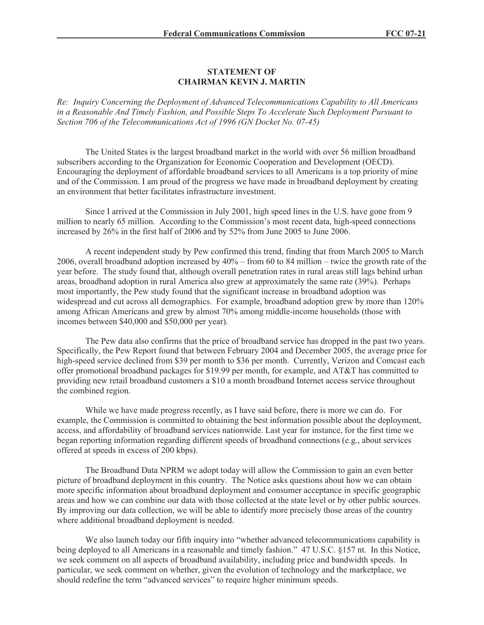## **STATEMENT OF CHAIRMAN KEVIN J. MARTIN**

*Re: Inquiry Concerning the Deployment of Advanced Telecommunications Capability to All Americans in a Reasonable And Timely Fashion, and Possible Steps To Accelerate Such Deployment Pursuant to Section 706 of the Telecommunications Act of 1996 (GN Docket No. 07-45)*

The United States is the largest broadband market in the world with over 56 million broadband subscribers according to the Organization for Economic Cooperation and Development (OECD). Encouraging the deployment of affordable broadband services to all Americans is a top priority of mine and of the Commission. I am proud of the progress we have made in broadband deployment by creating an environment that better facilitates infrastructure investment.

Since I arrived at the Commission in July 2001, high speed lines in the U.S. have gone from 9 million to nearly 65 million. According to the Commission's most recent data, high-speed connections increased by 26% in the first half of 2006 and by 52% from June 2005 to June 2006.

A recent independent study by Pew confirmed this trend, finding that from March 2005 to March 2006, overall broadband adoption increased by 40% – from 60 to 84 million – twice the growth rate of the year before. The study found that, although overall penetration rates in rural areas still lags behind urban areas, broadband adoption in rural America also grew at approximately the same rate (39%). Perhaps most importantly, the Pew study found that the significant increase in broadband adoption was widespread and cut across all demographics. For example, broadband adoption grew by more than 120% among African Americans and grew by almost 70% among middle-income households (those with incomes between \$40,000 and \$50,000 per year).

The Pew data also confirms that the price of broadband service has dropped in the past two years. Specifically, the Pew Report found that between February 2004 and December 2005, the average price for high-speed service declined from \$39 per month to \$36 per month. Currently, Verizon and Comcast each offer promotional broadband packages for \$19.99 per month, for example, and AT&T has committed to providing new retail broadband customers a \$10 a month broadband Internet access service throughout the combined region.

While we have made progress recently, as I have said before, there is more we can do. For example, the Commission is committed to obtaining the best information possible about the deployment, access, and affordability of broadband services nationwide. Last year for instance, for the first time we began reporting information regarding different speeds of broadband connections (e.g., about services offered at speeds in excess of 200 kbps).

The Broadband Data NPRM we adopt today will allow the Commission to gain an even better picture of broadband deployment in this country. The Notice asks questions about how we can obtain more specific information about broadband deployment and consumer acceptance in specific geographic areas and how we can combine our data with those collected at the state level or by other public sources. By improving our data collection, we will be able to identify more precisely those areas of the country where additional broadband deployment is needed.

We also launch today our fifth inquiry into "whether advanced telecommunications capability is being deployed to all Americans in a reasonable and timely fashion." 47 U.S.C. §157 nt. In this Notice, we seek comment on all aspects of broadband availability, including price and bandwidth speeds. In particular, we seek comment on whether, given the evolution of technology and the marketplace, we should redefine the term "advanced services" to require higher minimum speeds.